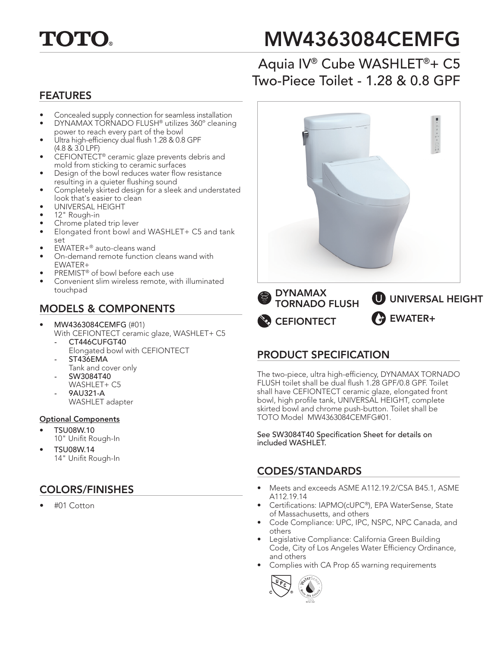

# MW4363084CEMFG

# Aquia IV® Cube WASHLET®+ C5 Two-Piece Toilet - 1.28 & 0.8 GPF

#### FEATURES

- Concealed supply connection for seamless installation
- DYNAMAX TORNADO FLUSH® utilizes 360º cleaning power to reach every part of the bowl
- Ultra high-efficiency dual flush 1.28 & 0.8 GPF (4.8 & 3.0 LPF)
- CEFIONTECT® ceramic glaze prevents debris and mold from sticking to ceramic surfaces
- Design of the bowl reduces water flow resistance resulting in a quieter flushing sound
- Completely skirted design for a sleek and understated look that's easier to clean
- UNIVERSAL HEIGHT
- 12" Rough-in
- Chrome plated trip lever
- Elongated front bowl and WASHLET+ C5 and tank set
- EWATER+® auto-cleans wand
- On-demand remote function cleans wand with EWATER+
- PREMIST<sup>®</sup> of bowl before each use
- Convenient slim wireless remote, with illuminated touchpad

### MODELS & COMPONENTS

- MW4363084CEMFG (#01)
	- With CEFIONTECT ceramic glaze, WASHLET+ C5 *-* CT446CUFGT40
		- Elongated bowl with CEFIONTECT *-* ST436EMA
		- Tank and cover only
	- SW3084T40 WASHLET+ C5
	- 9AU321-A
		- WASHLET adapter

#### Optional Components

- TSU08W.10
- 10" Unifit Rough-In
- TSU08W.14 14" Unifit Rough-In

### COLORS/FINISHES

• #01 Cotton



#### PRODUCT SPECIFICATION

**CEFIONTECT** 

The two-piece, ultra high-efficiency, DYNAMAX TORNADO FLUSH toilet shall be dual flush 1.28 GPF/0.8 GPF. Toilet shall have CEFIONTECT ceramic glaze, elongated front bowl, high profile tank, UNIVERSAL HEIGHT, complete skirted bowl and chrome push-button. Toilet shall be TOTO Model MW4363084CEMFG#01.

**EWATER+** 

See SW3084T40 Specification Sheet for details on included WASHLET.

#### CODES/STANDARDS

- Meets and exceeds ASME A112.19.2/CSA B45.1, ASME A112.19.14
- Certifications: IAPMO(cUPC®), EPA WaterSense, State of Massachusetts, and others
- Code Compliance: UPC, IPC, NSPC, NPC Canada, and others
- Legislative Compliance: California Green Building Code, City of Los Angeles Water Efficiency Ordinance, and others
- Complies with CA Prop 65 warning requirements